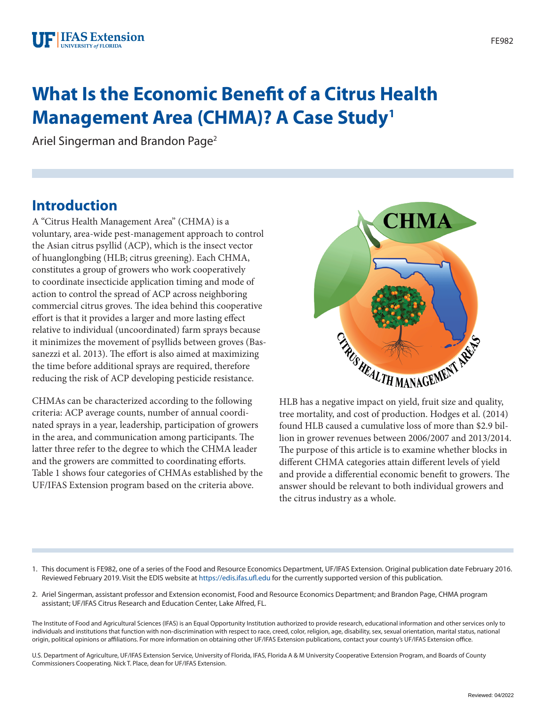# **What Is the Economic Benefit of a Citrus Health Management Area (CHMA)? A Case Study1**

Ariel Singerman and Brandon Page2

#### **Introduction**

A "Citrus Health Management Area" (CHMA) is a voluntary, area-wide pest-management approach to control the Asian citrus psyllid (ACP), which is the insect vector of huanglongbing (HLB; citrus greening). Each CHMA, constitutes a group of growers who work cooperatively to coordinate insecticide application timing and mode of action to control the spread of ACP across neighboring commercial citrus groves. The idea behind this cooperative effort is that it provides a larger and more lasting effect relative to individual (uncoordinated) farm sprays because it minimizes the movement of psyllids between groves (Bassanezzi et al. 2013). The effort is also aimed at maximizing the time before additional sprays are required, therefore reducing the risk of ACP developing pesticide resistance.

CHMAs can be characterized according to the following criteria: ACP average counts, number of annual coordinated sprays in a year, leadership, participation of growers in the area, and communication among participants. The latter three refer to the degree to which the CHMA leader and the growers are committed to coordinating efforts. Table 1 shows four categories of CHMAs established by the UF/IFAS Extension program based on the criteria above.



HLB has a negative impact on yield, fruit size and quality, tree mortality, and cost of production. Hodges et al. (2014) found HLB caused a cumulative loss of more than \$2.9 billion in grower revenues between 2006/2007 and 2013/2014. The purpose of this article is to examine whether blocks in different CHMA categories attain different levels of yield and provide a differential economic benefit to growers. The answer should be relevant to both individual growers and the citrus industry as a whole.

- 1. This document is FE982, one of a series of the Food and Resource Economics Department, UF/IFAS Extension. Original publication date February 2016. Reviewed February 2019. Visit the EDIS website at<https://edis.ifas.ufl.edu>for the currently supported version of this publication.
- 2. Ariel Singerman, assistant professor and Extension economist, Food and Resource Economics Department; and Brandon Page, CHMA program assistant; UF/IFAS Citrus Research and Education Center, Lake Alfred, FL.

The Institute of Food and Agricultural Sciences (IFAS) is an Equal Opportunity Institution authorized to provide research, educational information and other services only to individuals and institutions that function with non-discrimination with respect to race, creed, color, religion, age, disability, sex, sexual orientation, marital status, national origin, political opinions or affiliations. For more information on obtaining other UF/IFAS Extension publications, contact your county's UF/IFAS Extension office.

U.S. Department of Agriculture, UF/IFAS Extension Service, University of Florida, IFAS, Florida A & M University Cooperative Extension Program, and Boards of County Commissioners Cooperating. Nick T. Place, dean for UF/IFAS Extension.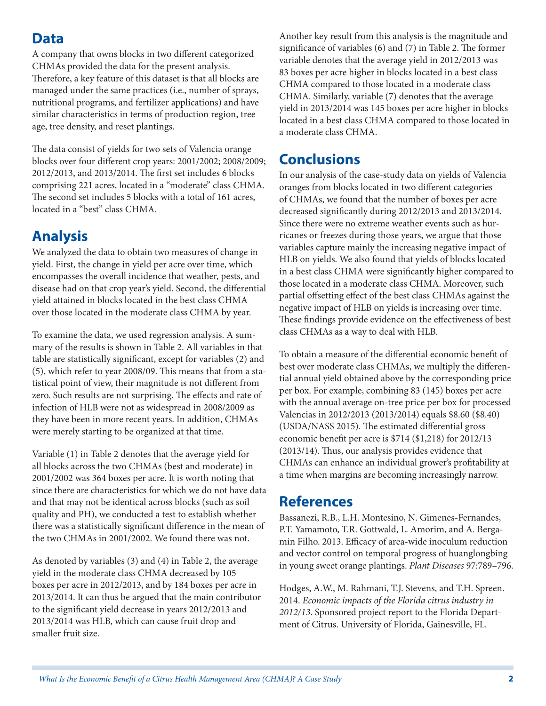### **Data**

A company that owns blocks in two different categorized CHMAs provided the data for the present analysis. Therefore, a key feature of this dataset is that all blocks are managed under the same practices (i.e., number of sprays, nutritional programs, and fertilizer applications) and have similar characteristics in terms of production region, tree age, tree density, and reset plantings.

The data consist of yields for two sets of Valencia orange blocks over four different crop years: 2001/2002; 2008/2009; 2012/2013, and 2013/2014. The first set includes 6 blocks comprising 221 acres, located in a "moderate" class CHMA. The second set includes 5 blocks with a total of 161 acres, located in a "best" class CHMA.

## **Analysis**

We analyzed the data to obtain two measures of change in yield. First, the change in yield per acre over time, which encompasses the overall incidence that weather, pests, and disease had on that crop year's yield. Second, the differential yield attained in blocks located in the best class CHMA over those located in the moderate class CHMA by year.

To examine the data, we used regression analysis. A summary of the results is shown in Table 2. All variables in that table are statistically significant, except for variables (2) and (5), which refer to year 2008/09. This means that from a statistical point of view, their magnitude is not different from zero. Such results are not surprising. The effects and rate of infection of HLB were not as widespread in 2008/2009 as they have been in more recent years. In addition, CHMAs were merely starting to be organized at that time.

Variable (1) in Table 2 denotes that the average yield for all blocks across the two CHMAs (best and moderate) in 2001/2002 was 364 boxes per acre. It is worth noting that since there are characteristics for which we do not have data and that may not be identical across blocks (such as soil quality and PH), we conducted a test to establish whether there was a statistically significant difference in the mean of the two CHMAs in 2001/2002. We found there was not.

As denoted by variables (3) and (4) in Table 2, the average yield in the moderate class CHMA decreased by 105 boxes per acre in 2012/2013, and by 184 boxes per acre in 2013/2014. It can thus be argued that the main contributor to the significant yield decrease in years 2012/2013 and 2013/2014 was HLB, which can cause fruit drop and smaller fruit size.

Another key result from this analysis is the magnitude and significance of variables (6) and (7) in Table 2. The former variable denotes that the average yield in 2012/2013 was 83 boxes per acre higher in blocks located in a best class CHMA compared to those located in a moderate class CHMA. Similarly, variable (7) denotes that the average yield in 2013/2014 was 145 boxes per acre higher in blocks located in a best class CHMA compared to those located in a moderate class CHMA.

## **Conclusions**

In our analysis of the case-study data on yields of Valencia oranges from blocks located in two different categories of CHMAs, we found that the number of boxes per acre decreased significantly during 2012/2013 and 2013/2014. Since there were no extreme weather events such as hurricanes or freezes during those years, we argue that those variables capture mainly the increasing negative impact of HLB on yields. We also found that yields of blocks located in a best class CHMA were significantly higher compared to those located in a moderate class CHMA. Moreover, such partial offsetting effect of the best class CHMAs against the negative impact of HLB on yields is increasing over time. These findings provide evidence on the effectiveness of best class CHMAs as a way to deal with HLB.

To obtain a measure of the differential economic benefit of best over moderate class CHMAs, we multiply the differential annual yield obtained above by the corresponding price per box. For example, combining 83 (145) boxes per acre with the annual average on-tree price per box for processed Valencias in 2012/2013 (2013/2014) equals \$8.60 (\$8.40) (USDA/NASS 2015). The estimated differential gross economic benefit per acre is \$714 (\$1,218) for 2012/13 (2013/14). Thus, our analysis provides evidence that CHMAs can enhance an individual grower's profitability at a time when margins are becoming increasingly narrow.

### **References**

Bassanezi, R.B., L.H. Montesino, N. Gimenes-Fernandes, P.T. Yamamoto, T.R. Gottwald, L. Amorim, and A. Bergamin Filho. 2013. Efficacy of area-wide inoculum reduction and vector control on temporal progress of huanglongbing in young sweet orange plantings. *Plant Diseases* 97:789–796.

Hodges, A.W., M. Rahmani, T.J. Stevens, and T.H. Spreen. 2014. *Economic impacts of the Florida citrus industry in 2012/13*. Sponsored project report to the Florida Department of Citrus. University of Florida, Gainesville, FL.